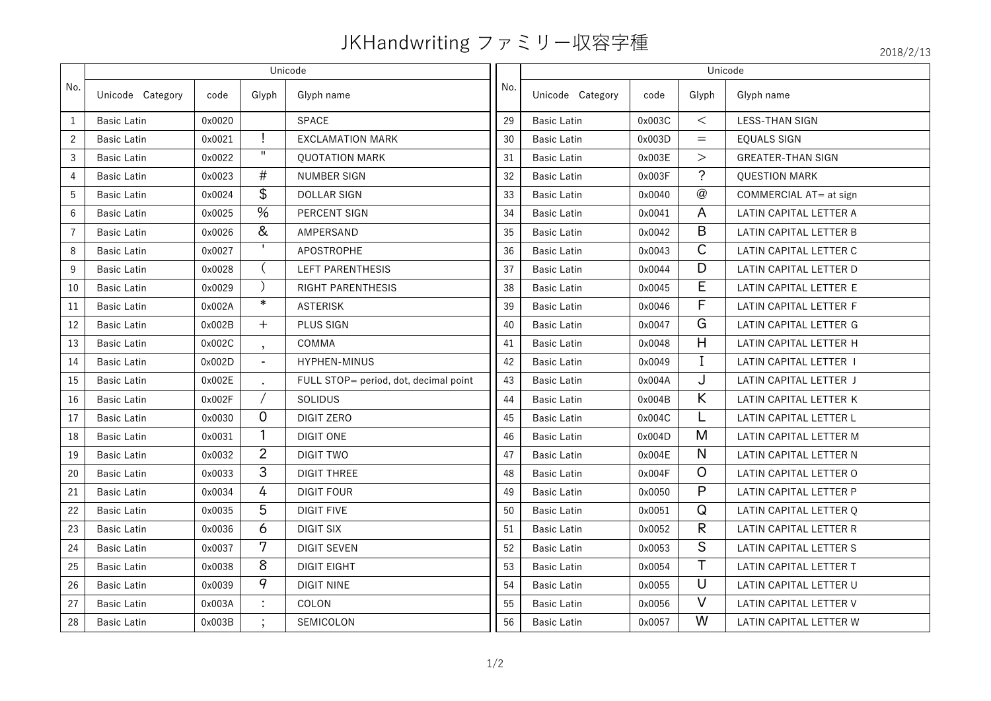## JKHandwriting ファミリー収容字種 2018/2/13

| No.            | Unicode            |        |                |                                       |     | Unicode            |        |              |                          |
|----------------|--------------------|--------|----------------|---------------------------------------|-----|--------------------|--------|--------------|--------------------------|
|                | Unicode Category   | code   | Glyph          | Glyph name                            | No. | Unicode Category   | code   | Glyph        | Glyph name               |
| $\mathbf{1}$   | <b>Basic Latin</b> | 0x0020 |                | <b>SPACE</b>                          | 29  | <b>Basic Latin</b> | 0x003C | $\lt$        | <b>LESS-THAN SIGN</b>    |
| $\overline{2}$ | <b>Basic Latin</b> | 0x0021 |                | <b>EXCLAMATION MARK</b>               | 30  | <b>Basic Latin</b> | 0x003D | $=$          | <b>EQUALS SIGN</b>       |
| 3              | <b>Basic Latin</b> | 0x0022 | $\mathbf H$    | <b>QUOTATION MARK</b>                 | 31  | <b>Basic Latin</b> | 0x003E | $\geq$       | <b>GREATER-THAN SIGN</b> |
| 4              | <b>Basic Latin</b> | 0x0023 | $\#$           | <b>NUMBER SIGN</b>                    | 32  | <b>Basic Latin</b> | 0x003F | ?            | <b>QUESTION MARK</b>     |
| 5              | <b>Basic Latin</b> | 0x0024 | \$             | <b>DOLLAR SIGN</b>                    | 33  | <b>Basic Latin</b> | 0x0040 | $\circleda$  | COMMERCIAL AT= at sign   |
| 6              | <b>Basic Latin</b> | 0x0025 | %              | PERCENT SIGN                          | 34  | <b>Basic Latin</b> | 0x0041 | A            | LATIN CAPITAL LETTER A   |
| $\overline{7}$ | <b>Basic Latin</b> | 0x0026 | &              | AMPERSAND                             | 35  | <b>Basic Latin</b> | 0x0042 | B            | LATIN CAPITAL LETTER B   |
| 8              | <b>Basic Latin</b> | 0x0027 | $\mathbf{I}$   | <b>APOSTROPHE</b>                     | 36  | <b>Basic Latin</b> | 0x0043 | $\mathsf{C}$ | LATIN CAPITAL LETTER C   |
| 9              | <b>Basic Latin</b> | 0x0028 |                | LEFT PARENTHESIS                      | 37  | <b>Basic Latin</b> | 0x0044 | D            | LATIN CAPITAL LETTER D   |
| 10             | <b>Basic Latin</b> | 0x0029 |                | <b>RIGHT PARENTHESIS</b>              | 38  | <b>Basic Latin</b> | 0x0045 | E            | LATIN CAPITAL LETTER E   |
| 11             | <b>Basic Latin</b> | 0x002A | $\ast$         | <b>ASTERISK</b>                       | 39  | <b>Basic Latin</b> | 0x0046 | F            | LATIN CAPITAL LETTER F   |
| 12             | <b>Basic Latin</b> | 0x002B | $+$            | <b>PLUS SIGN</b>                      | 40  | <b>Basic Latin</b> | 0x0047 | G            | LATIN CAPITAL LETTER G   |
| 13             | <b>Basic Latin</b> | 0x002C | $\cdot$        | COMMA                                 | 41  | <b>Basic Latin</b> | 0x0048 | Н            | LATIN CAPITAL LETTER H   |
| 14             | <b>Basic Latin</b> | 0x002D | $\blacksquare$ | HYPHEN-MINUS                          | 42  | <b>Basic Latin</b> | 0x0049 | L            | LATIN CAPITAL LETTER I   |
| 15             | <b>Basic Latin</b> | 0x002E |                | FULL STOP= period, dot, decimal point | 43  | <b>Basic Latin</b> | 0x004A | J            | LATIN CAPITAL LETTER J   |
| 16             | <b>Basic Latin</b> | 0x002F |                | <b>SOLIDUS</b>                        | 44  | <b>Basic Latin</b> | 0x004B | K.           | LATIN CAPITAL LETTER K   |
| 17             | <b>Basic Latin</b> | 0x0030 | $\Omega$       | <b>DIGIT ZERO</b>                     | 45  | <b>Basic Latin</b> | 0x004C | L            | LATIN CAPITAL LETTER L   |
| 18             | <b>Basic Latin</b> | 0x0031 | 1              | DIGIT ONE                             | 46  | <b>Basic Latin</b> | 0x004D | M            | LATIN CAPITAL LETTER M   |
| 19             | <b>Basic Latin</b> | 0x0032 | $\overline{2}$ | <b>DIGIT TWO</b>                      | 47  | <b>Basic Latin</b> | 0x004E | $\mathsf{N}$ | LATIN CAPITAL LETTER N   |
| 20             | <b>Basic Latin</b> | 0x0033 | 3              | <b>DIGIT THREE</b>                    | 48  | <b>Basic Latin</b> | 0x004F | $\Omega$     | LATIN CAPITAL LETTER O   |
| 21             | <b>Basic Latin</b> | 0x0034 | 4              | <b>DIGIT FOUR</b>                     | 49  | <b>Basic Latin</b> | 0x0050 | P            | LATIN CAPITAL LETTER P   |
| 22             | <b>Basic Latin</b> | 0x0035 | 5              | <b>DIGIT FIVE</b>                     | 50  | <b>Basic Latin</b> | 0x0051 | Q            | LATIN CAPITAL LETTER Q   |
| 23             | <b>Basic Latin</b> | 0x0036 | 6              | <b>DIGIT SIX</b>                      | 51  | <b>Basic Latin</b> | 0x0052 | R            | LATIN CAPITAL LETTER R   |
| 24             | <b>Basic Latin</b> | 0x0037 | 7              | <b>DIGIT SEVEN</b>                    | 52  | <b>Basic Latin</b> | 0x0053 | S            | LATIN CAPITAL LETTER S   |
| 25             | <b>Basic Latin</b> | 0x0038 | 8              | <b>DIGIT EIGHT</b>                    | 53  | <b>Basic Latin</b> | 0x0054 | T.           | LATIN CAPITAL LETTER T   |
| 26             | <b>Basic Latin</b> | 0x0039 | 9              | <b>DIGIT NINE</b>                     | 54  | <b>Basic Latin</b> | 0x0055 | U            | LATIN CAPITAL LETTER U   |
| 27             | <b>Basic Latin</b> | 0x003A |                | COLON                                 | 55  | <b>Basic Latin</b> | 0x0056 | V            | LATIN CAPITAL LETTER V   |
| 28             | <b>Basic Latin</b> | 0x003B |                | <b>SEMICOLON</b>                      | 56  | <b>Basic Latin</b> | 0x0057 | W            | LATIN CAPITAL LETTER W   |